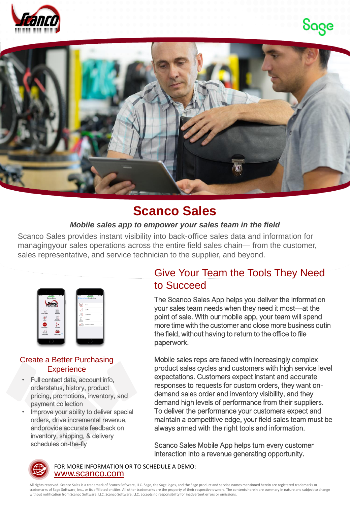





## **Scanco Sales**

#### *Mobile sales app to empower your sales team in the field*

Scanco Sales provides instant visibility into back-office sales data and information for managingyour sales operations across the entire field sales chain— from the customer, sales representative, and service technician to the supplier, and beyond.

| <b>U.CLNd</b><br>Pol W<br>$\cdots$<br><b>Scance Sales</b> | 12:44 PH<br>Post W<br>Scarco Sales Create New |
|-----------------------------------------------------------|-----------------------------------------------|
| <b>Ranco</b>                                              | Order                                         |
| ë                                                         | Quote                                         |
| <b>Soles Orders</b><br><b>King</b>                        | м<br>Customer                                 |
| <b>Customers</b><br><b>Harry</b><br><b>NEW</b>            | Contact<br>Proof of Delivery                  |
| Create New<br>Sevena<br>m                                 |                                               |
| Quick Scan (1)<br>Backbaard                               |                                               |
|                                                           |                                               |

#### Create a Better Purchasing **Experience**

- Full contact data, account info, orderstatus, history, product pricing, promotions, inventory, and payment collection
- Improve your ability to deliver special orders, drive incremental revenue, andprovide accurate feedback on inventory, shipping, & delivery schedules on-the-fly

## Give Your Team the Tools They Need to Succeed

The Scanco Sales App helps you deliver the information your sales team needs when they need it most—at the point of sale. With our mobile app, your team will spend more time with the customer and close more business outin the field, without having to return to the office to file paperwork.

Mobile sales reps are faced with increasingly complex product sales cycles and customers with high service level expectations. Customers expect instant and accurate responses to requests for custom orders, they want ondemand sales order and inventory visibility, and they demand high levels of performance from their suppliers. To deliver the performance your customers expect and maintain a competitive edge, your field sales team must be always armed with the right tools and information.

Scanco Sales Mobile App helps turn every customer interaction into a revenue generating opportunity.



[www.scanco.com](https://scanco.com/) FOR MORE INFORMATION OR TO SCHEDULE A DEMO:

All rights reserved. Scanco Sales is a trademark of Scanco Software, LLC. Sage, the Sage logos, and the Sage product and service names mentioned herein are registered trademarks or trademarks of Sage Software, Inc., or its affiliated entities. All other trademarks are the property of their respective owners. The contents herein are summary in nature and subject to change without notification from Scanco Software, LLC. Scanco Software, LLC, accepts no responsibility for inadvertent errors or omissions.